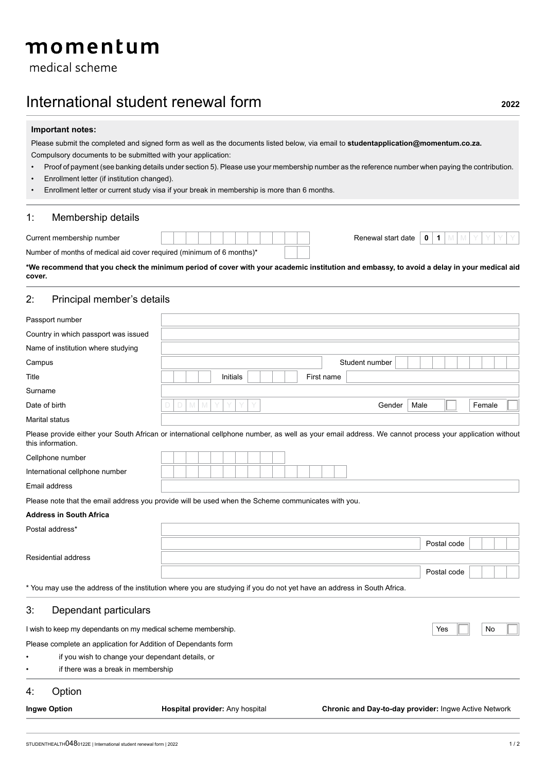medical scheme

# International student renewal form **<sup>2022</sup>**

### **Important notes:**

Please submit the completed and signed form as well as the documents listed below, via email to **studentapplication@momentum.co.za.** Compulsory documents to be submitted with your application:

- Proof of payment (see banking details under section 5). Please use your membership number as the reference number when paying the contribution.
- Enrollment letter (if institution changed).
- Enrollment letter or current study visa if your break in membership is more than 6 months.

### 1: Membership details

| Current membership number                                             |  | Renewal start date | n |  |
|-----------------------------------------------------------------------|--|--------------------|---|--|
| Number of months of medical aid cover required (minimum of 6 months)* |  |                    |   |  |

**\*We recommend that you check the minimum period of cover with your academic institution and embassy, to avoid a delay in your medical aid cover.**

# 2: Principal member's details

| Passport number                                                                                                                                                            |             |          |  |            |                |      |             |        |  |
|----------------------------------------------------------------------------------------------------------------------------------------------------------------------------|-------------|----------|--|------------|----------------|------|-------------|--------|--|
| Country in which passport was issued                                                                                                                                       |             |          |  |            |                |      |             |        |  |
| Name of institution where studying                                                                                                                                         |             |          |  |            |                |      |             |        |  |
| Campus                                                                                                                                                                     |             |          |  |            | Student number |      |             |        |  |
| Title                                                                                                                                                                      |             | Initials |  | First name |                |      |             |        |  |
| Surname                                                                                                                                                                    |             |          |  |            |                |      |             |        |  |
| Date of birth                                                                                                                                                              | D<br>M<br>M |          |  |            | Gender         | Male |             | Female |  |
| Marital status                                                                                                                                                             |             |          |  |            |                |      |             |        |  |
| Please provide either your South African or international cellphone number, as well as your email address. We cannot process your application without<br>this information. |             |          |  |            |                |      |             |        |  |
| Cellphone number                                                                                                                                                           |             |          |  |            |                |      |             |        |  |
| International cellphone number                                                                                                                                             |             |          |  |            |                |      |             |        |  |
| Email address                                                                                                                                                              |             |          |  |            |                |      |             |        |  |
| Please note that the email address you provide will be used when the Scheme communicates with you.                                                                         |             |          |  |            |                |      |             |        |  |
| <b>Address in South Africa</b>                                                                                                                                             |             |          |  |            |                |      |             |        |  |
| Postal address*                                                                                                                                                            |             |          |  |            |                |      |             |        |  |
|                                                                                                                                                                            |             |          |  |            |                |      | Postal code |        |  |
| <b>Residential address</b>                                                                                                                                                 |             |          |  |            |                |      |             |        |  |
|                                                                                                                                                                            |             |          |  |            |                |      | Postal code |        |  |
| * You may use the address of the institution where you are studying if you do not yet have an address in South Africa.                                                     |             |          |  |            |                |      |             |        |  |
| 3.<br>Dependant particulars                                                                                                                                                |             |          |  |            |                |      |             |        |  |
| I wish to keep my dependants on my medical scheme membership.                                                                                                              |             |          |  |            |                |      | Yes         | No     |  |
| Please complete an application for Addition of Dependants form                                                                                                             |             |          |  |            |                |      |             |        |  |
| if you wish to change your dependant details, or                                                                                                                           |             |          |  |            |                |      |             |        |  |
| if there was a break in membership                                                                                                                                         |             |          |  |            |                |      |             |        |  |

# 4: Option

**Ingwe Option Hospital provider:** Any hospital **Chronic and Day-to-day provider:** Ingwe Active Network